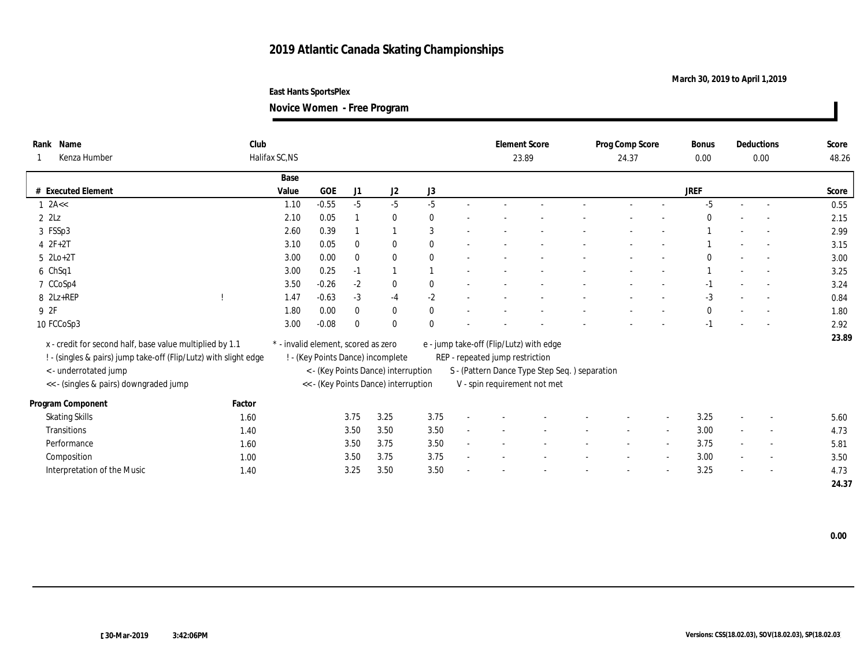## **March 30, 2019 to April 1,2019**

**East Hants SportsPlex**

**Novice Women - Free Program**

| Rank Name<br>Kenza Humber                                        | Club   | Halifax SC,NS                       |         |          |                                      |              | <b>Element Score</b><br>23.89           |                                               | Prog Comp Score<br>24.37 |                          | Bonus<br>0.00 |        | Deductions<br>0.00       | Score<br>48.26 |
|------------------------------------------------------------------|--------|-------------------------------------|---------|----------|--------------------------------------|--------------|-----------------------------------------|-----------------------------------------------|--------------------------|--------------------------|---------------|--------|--------------------------|----------------|
|                                                                  |        | Base                                |         |          |                                      |              |                                         |                                               |                          |                          |               |        |                          |                |
| # Executed Element                                               |        | Value                               | GOE     | J1       | J2                                   | J3           |                                         |                                               |                          |                          | <b>JREF</b>   |        |                          | Score          |
| $1$ 2A $\lt$                                                     |        | 1.10                                | $-0.55$ | $-5$     | $-5$                                 | $-5$         |                                         |                                               |                          |                          | $-5$          |        | $\sim$                   | 0.55           |
| $2$ $2$ Lz                                                       |        | 2.10                                | 0.05    |          | $\bf{0}$                             | $\bf{0}$     |                                         |                                               |                          |                          | $\Omega$      |        | $\sim$                   | 2.15           |
| 3 FSSp3                                                          |        | 2.60                                | 0.39    |          | 1                                    | 3            |                                         |                                               |                          |                          |               |        | $\sim$                   | 2.99           |
| $4 2F + 2T$                                                      |        | 3.10                                | 0.05    | $\bf{0}$ | $\bf{0}$                             | $\mathbf{0}$ |                                         |                                               |                          |                          |               |        |                          | 3.15           |
| $5$ $2Lo+2T$                                                     |        | 3.00                                | 0.00    | $\bf{0}$ | $\bf{0}$                             | $\mathbf{0}$ |                                         |                                               |                          |                          | $\mathbf{0}$  |        | $\overline{a}$           | 3.00           |
| 6 ChSq1                                                          |        | 3.00                                | 0.25    | $-1$     |                                      |              |                                         |                                               |                          |                          |               |        |                          | 3.25           |
| 7 CCoSp4                                                         |        | 3.50                                | $-0.26$ | $-2$     | $\bf{0}$                             | $\mathbf{0}$ |                                         |                                               |                          | $\overline{\phantom{a}}$ | $-1$          |        | $\sim$                   | 3.24           |
| 8 2Lz+REP                                                        |        | 1.47                                | $-0.63$ | $-3$     | $-4$                                 | $-2$         |                                         |                                               |                          |                          | $-3$          |        |                          | 0.84           |
| 9 2F                                                             |        | 1.80                                | 0.00    | $\bf{0}$ | $\bf{0}$                             | $\mathbf{0}$ |                                         |                                               |                          |                          | $\bf{0}$      |        | $\sim$                   | 1.80           |
| 10 FCCoSp3                                                       |        | 3.00                                | $-0.08$ | $\bf{0}$ | $\mathbf{0}$                         | $\bf{0}$     |                                         |                                               |                          |                          | $-1$          |        | $\sim$                   | 2.92           |
| x - credit for second half, base value multiplied by 1.1         |        | * - invalid element, scored as zero |         |          |                                      |              | e - jump take-off (Flip/Lutz) with edge |                                               |                          |                          |               |        |                          | 23.89          |
| ! - (singles & pairs) jump take-off (Flip/Lutz) with slight edge |        |                                     |         |          | ! - (Key Points Dance) incomplete    |              | REP - repeated jump restriction         |                                               |                          |                          |               |        |                          |                |
| <- underrotated jump                                             |        |                                     |         |          | < - (Key Points Dance) interruption  |              |                                         | S - (Pattern Dance Type Step Seq.) separation |                          |                          |               |        |                          |                |
| << - (singles & pairs) downgraded jump                           |        |                                     |         |          | << - (Key Points Dance) interruption |              |                                         | V - spin requirement not met                  |                          |                          |               |        |                          |                |
| Program Component                                                | Factor |                                     |         |          |                                      |              |                                         |                                               |                          |                          |               |        |                          |                |
| <b>Skating Skills</b>                                            | 1.60   |                                     |         | 3.75     | 3.25                                 | 3.75         |                                         |                                               |                          |                          | 3.25          |        | $\overline{\phantom{a}}$ | 5.60           |
| Transitions                                                      | 1.40   |                                     |         | 3.50     | 3.50                                 | 3.50         |                                         |                                               |                          | $\overline{\phantom{a}}$ | 3.00          | $\sim$ | $\sim$                   | 4.73           |
| Performance                                                      | 1.60   |                                     |         | 3.50     | 3.75                                 | 3.50         |                                         |                                               | $\overline{\phantom{a}}$ | $\overline{\phantom{a}}$ | 3.75          |        | $\sim$                   |                |
|                                                                  |        |                                     |         | 3.50     | 3.75                                 | 3.75         |                                         |                                               |                          |                          | 3.00          |        |                          | 5.81           |
| Composition                                                      | 1.00   |                                     |         |          | 3.50                                 | 3.50         |                                         |                                               |                          | $\sim$                   |               |        | $\overline{\phantom{a}}$ | 3.50           |
| Interpretation of the Music                                      | 1.40   |                                     |         | 3.25     |                                      |              |                                         |                                               |                          |                          | 3.25          |        | $\overline{\phantom{a}}$ | 4.73           |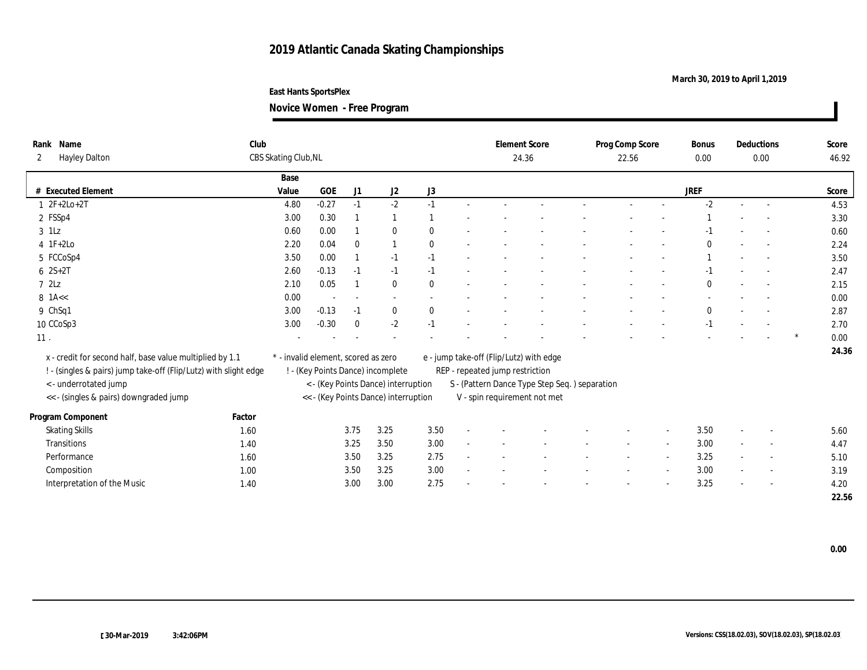## **March 30, 2019 to April 1,2019**

**East Hants SportsPlex**

**Novice Women - Free Program**

| Name<br>Rank<br><b>Hayley Dalton</b><br>2                        | Club   | CBS Skating Club, NL                |           |                          |                                      |              |                                 | <b>Element Score</b><br>24.36                 | Prog Comp Score<br>22.56 |                          | Bonus<br>0.00 | Deductions<br>0.00       | Score<br>46.92 |
|------------------------------------------------------------------|--------|-------------------------------------|-----------|--------------------------|--------------------------------------|--------------|---------------------------------|-----------------------------------------------|--------------------------|--------------------------|---------------|--------------------------|----------------|
|                                                                  |        | Base                                |           |                          |                                      |              |                                 |                                               |                          |                          |               |                          |                |
| # Executed Element                                               |        | Value                               | $\rm GOE$ | J1                       | J2                                   | J3           |                                 |                                               |                          |                          | JREF          |                          | Score          |
| $1 2F+2Lo+2T$                                                    |        | 4.80                                | $-0.27$   | $-1$                     | $-2$                                 | $-1$         |                                 |                                               |                          |                          | $-2$          |                          | 4.53           |
| 2 FSSp4                                                          |        | 3.00                                | 0.30      |                          |                                      |              |                                 |                                               |                          |                          |               |                          | 3.30           |
| $3$ 1Lz                                                          |        | 0.60                                | 0.00      |                          | $\bf{0}$                             | $\bf{0}$     |                                 |                                               |                          |                          | $-1$          | $\overline{\phantom{a}}$ | 0.60           |
| $4$ 1F+2Lo                                                       |        | 2.20                                | 0.04      | $\bf{0}$                 | 1                                    | $\mathbf{0}$ |                                 |                                               |                          |                          | $\mathbf{0}$  |                          | 2.24           |
| 5 FCCoSp4                                                        |        | 3.50                                | 0.00      |                          | $-1$                                 | $-1$         |                                 |                                               |                          |                          |               | $\overline{\phantom{a}}$ | 3.50           |
| $6 \ 2S + 2T$                                                    |        | 2.60                                | $-0.13$   | $-1$                     | $-1$                                 | $-1$         |                                 |                                               |                          |                          | $-1$          | $\sim$                   | 2.47           |
| 72Lz                                                             |        | 2.10                                | 0.05      |                          | $\bf{0}$                             | $\bf{0}$     |                                 |                                               |                          |                          | $\Omega$      |                          | 2.15           |
| $8$ 1A $<<$                                                      |        | 0.00                                |           | $\overline{\phantom{a}}$ | $\sim$                               |              |                                 |                                               |                          |                          |               |                          | 0.00           |
| 9 ChSq1                                                          |        | 3.00                                | $-0.13$   | $-1$                     | $\mathbf{0}$                         | $\mathbf{0}$ |                                 |                                               |                          |                          | $\mathbf{0}$  | $\overline{\phantom{a}}$ | 2.87           |
| 10 CCoSp3                                                        |        | 3.00                                | $-0.30$   | $\bf{0}$                 | $-2$                                 | $-1$         |                                 |                                               |                          |                          | $-1$          |                          | 2.70           |
| 11.                                                              |        |                                     |           |                          |                                      |              |                                 |                                               |                          |                          |               |                          | 0.00           |
| x - credit for second half, base value multiplied by 1.1         |        | * - invalid element, scored as zero |           |                          |                                      |              |                                 | e - jump take-off (Flip/Lutz) with edge       |                          |                          |               |                          | 24.36          |
| ! - (singles & pairs) jump take-off (Flip/Lutz) with slight edge |        |                                     |           |                          | ! - (Key Points Dance) incomplete    |              | REP - repeated jump restriction |                                               |                          |                          |               |                          |                |
| < - underrotated jump                                            |        |                                     |           |                          | < - (Key Points Dance) interruption  |              |                                 | S - (Pattern Dance Type Step Seq.) separation |                          |                          |               |                          |                |
| << - (singles & pairs) downgraded jump                           |        |                                     |           |                          | << - (Key Points Dance) interruption |              |                                 | V - spin requirement not met                  |                          |                          |               |                          |                |
|                                                                  |        |                                     |           |                          |                                      |              |                                 |                                               |                          |                          |               |                          |                |
| Program Component                                                | Factor |                                     |           |                          |                                      |              |                                 |                                               |                          |                          |               |                          |                |
| <b>Skating Skills</b>                                            | 1.60   |                                     |           | 3.75                     | 3.25                                 | 3.50         |                                 |                                               |                          |                          | 3.50          | $\overline{\phantom{a}}$ | 5.60           |
| Transitions                                                      | 1.40   |                                     |           | 3.25                     | 3.50                                 | 3.00         |                                 |                                               |                          |                          | 3.00          | $\overline{\phantom{a}}$ | 4.47           |
| Performance                                                      | 1.60   |                                     |           | 3.50                     | 3.25                                 | 2.75         |                                 |                                               |                          | $\overline{\phantom{a}}$ | 3.25          | $\overline{\phantom{a}}$ | 5.10           |
| Composition                                                      | 1.00   |                                     |           | 3.50                     | 3.25                                 | 3.00         |                                 |                                               |                          | $\sim$                   | 3.00          | $\overline{\phantom{a}}$ | 3.19           |
| Interpretation of the Music                                      | 1.40   |                                     |           | 3.00                     | 3.00                                 | 2.75         |                                 |                                               |                          |                          | 3.25          | $\overline{\phantom{a}}$ | 4.20           |
|                                                                  |        |                                     |           |                          |                                      |              |                                 |                                               |                          |                          |               |                          | 22.56          |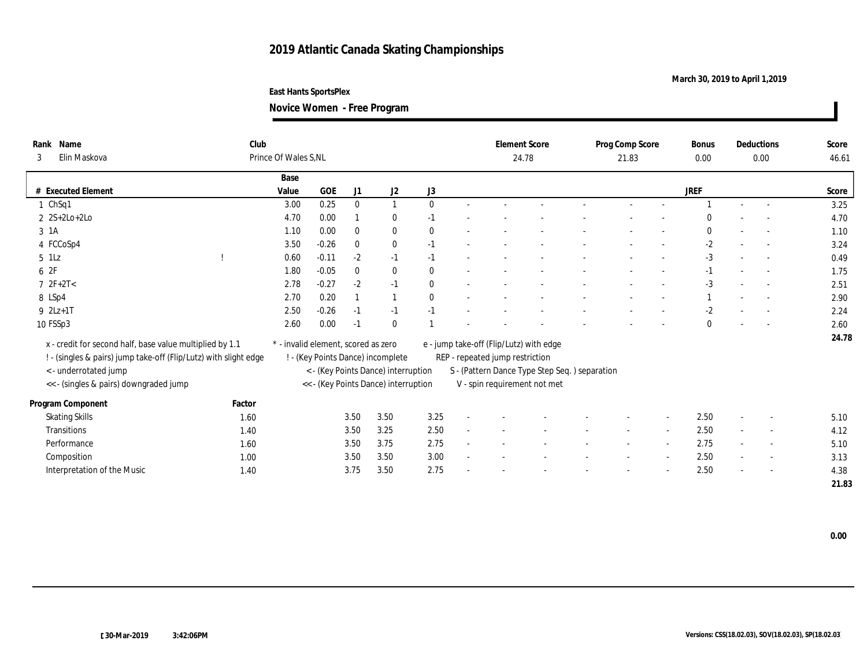## **March 30, 2019 to April 1,2019**

**East Hants SportsPlex**

**Novice Women - Free Program**

| Name<br>Rank<br>3     | Elin Maskova                                                     | Club<br>Prince Of Wales S,NL        |            |              |                                      |              | <b>Element Score</b><br>24.78                 |  | Prog Comp Score<br>21.83 |                | Bonus<br>0.00 | Deductions<br>0.00       | Score<br>46.61 |
|-----------------------|------------------------------------------------------------------|-------------------------------------|------------|--------------|--------------------------------------|--------------|-----------------------------------------------|--|--------------------------|----------------|---------------|--------------------------|----------------|
|                       |                                                                  | Base                                |            |              |                                      |              |                                               |  |                          |                |               |                          |                |
| # Executed Element    |                                                                  | Value                               | <b>GOE</b> | J1           | J2                                   | J3           |                                               |  |                          |                | <b>JREF</b>   |                          | Score          |
| 1 ChSq1               |                                                                  | 3.00                                | 0.25       | $\mathbf{0}$ |                                      | $\mathbf{0}$ |                                               |  |                          |                |               |                          | 3.25           |
| $2$ $2S+2Lo+2Lo$      |                                                                  | 4.70                                | 0.00       |              | $\bf{0}$                             | $-1$         |                                               |  |                          |                | $\Omega$      |                          | 4.70           |
| 3 <sub>1</sub> A      |                                                                  | 1.10                                | 0.00       | $\bf{0}$     | $\bf{0}$                             | $\bf{0}$     |                                               |  |                          |                | $\Omega$      | $\sim$                   | 1.10           |
| 4 FCCoSp4             |                                                                  | 3.50                                | $-0.26$    | $\mathbf{0}$ | $\bf{0}$                             | $-1$         |                                               |  |                          |                | $-2$          | $\sim$                   | 3.24           |
| 5 1Lz                 |                                                                  | 0.60                                | $-0.11$    | $-2$         | $-1$                                 | $-1$         |                                               |  |                          |                | $-3$          | $\overline{a}$           | 0.49           |
| 6 2F                  |                                                                  | 1.80                                | $-0.05$    | $\bf{0}$     | $\bf{0}$                             | $\bf{0}$     |                                               |  |                          |                | $-1$          | $\sim$                   | 1.75           |
| $72F+2T<$             |                                                                  | 2.78                                | $-0.27$    | $-2$         | $-1$                                 | $\mathbf{0}$ |                                               |  |                          |                | $-3$          | $\sim$                   | 2.51           |
| 8 LSp4                |                                                                  | 2.70                                | 0.20       |              |                                      | $\mathbf{0}$ |                                               |  |                          |                |               | $\overline{a}$           | 2.90           |
| $9$ $2Lz+1T$          |                                                                  | 2.50                                | $-0.26$    | $-1$         | $-1$                                 | $-1$         |                                               |  |                          |                | $-2$          |                          | 2.24           |
| 10 FSSp3              |                                                                  | 2.60                                | 0.00       | $-1$         | $\theta$                             |              |                                               |  |                          |                | $\Omega$      |                          | 2.60           |
|                       | x - credit for second half, base value multiplied by 1.1         | * - invalid element, scored as zero |            |              |                                      |              | e - jump take-off (Flip/Lutz) with edge       |  |                          |                |               |                          | 24.78          |
|                       | ! - (singles & pairs) jump take-off (Flip/Lutz) with slight edge |                                     |            |              | ! - (Key Points Dance) incomplete    |              | REP - repeated jump restriction               |  |                          |                |               |                          |                |
|                       | < - underrotated jump                                            |                                     |            |              | < - (Key Points Dance) interruption  |              | S - (Pattern Dance Type Step Seq.) separation |  |                          |                |               |                          |                |
|                       | << - (singles & pairs) downgraded jump                           |                                     |            |              | << - (Key Points Dance) interruption |              | V - spin requirement not met                  |  |                          |                |               |                          |                |
|                       |                                                                  |                                     |            |              |                                      |              |                                               |  |                          |                |               |                          |                |
| Program Component     |                                                                  | Factor                              |            |              |                                      |              |                                               |  |                          |                |               |                          |                |
| <b>Skating Skills</b> |                                                                  | 1.60                                |            | 3.50         | 3.50                                 | 3.25         |                                               |  |                          |                | 2.50          | $\overline{\phantom{a}}$ | 5.10           |
| Transitions           |                                                                  | 1.40                                |            | 3.50         | 3.25                                 | 2.50         |                                               |  |                          |                | 2.50          | $\overline{\phantom{a}}$ | 4.12           |
| Performance           |                                                                  | 1.60                                |            | 3.50         | 3.75                                 | 2.75         |                                               |  |                          | $\sim$         | 2.75          | $\sim$                   | 5.10           |
| Composition           |                                                                  | 1.00                                |            | 3.50         | 3.50                                 | 3.00         |                                               |  |                          | $\overline{a}$ | 2.50          | $\overline{\phantom{a}}$ | 3.13           |
|                       | Interpretation of the Music                                      | 1.40                                |            | 3.75         | 3.50                                 | 2.75         |                                               |  |                          |                | 2.50          | $\overline{\phantom{a}}$ | 4.38           |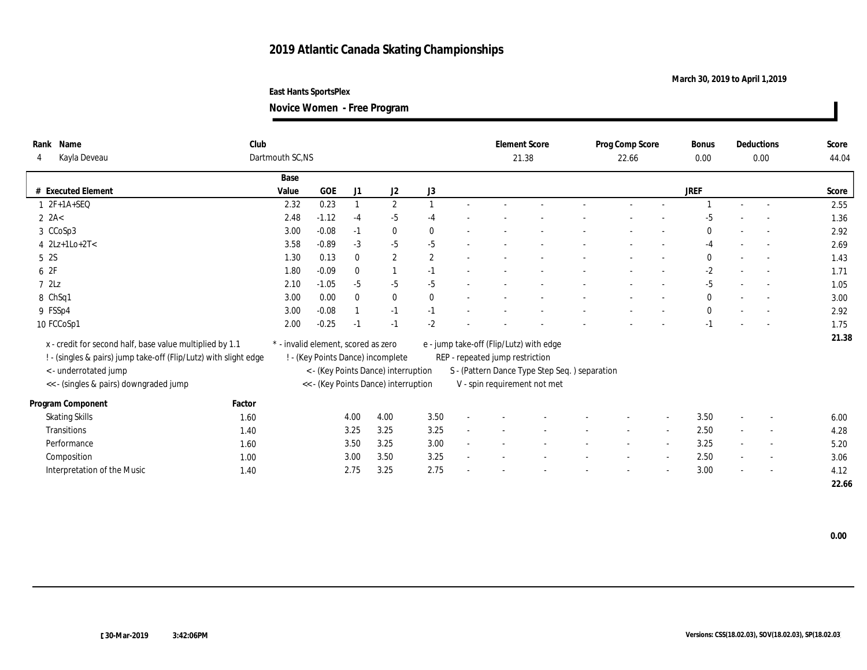## **March 30, 2019 to April 1,2019**

**East Hants SportsPlex**

**Novice Women - Free Program**

| Rank Name<br>Kayla Deveau<br>4                                                                                               | Club   | Dartmouth SC, NS                    |         |              |                                      |              | <b>Element Score</b><br>21.38                                              |                                               | Prog Comp Score<br>22.66 |        | Bonus<br>0.00 | Deductions<br>0.00       | Score<br>44.04 |
|------------------------------------------------------------------------------------------------------------------------------|--------|-------------------------------------|---------|--------------|--------------------------------------|--------------|----------------------------------------------------------------------------|-----------------------------------------------|--------------------------|--------|---------------|--------------------------|----------------|
|                                                                                                                              |        | Base                                |         |              |                                      |              |                                                                            |                                               |                          |        |               |                          |                |
| # Executed Element                                                                                                           |        | Value                               | GOE     | J1           | $\mathrm{J}2$                        | $\rm J3$     |                                                                            |                                               |                          |        | <b>JREF</b>   |                          | Score          |
| $2F+1A+SEQ$                                                                                                                  |        | 2.32                                | 0.23    |              | $\boldsymbol{2}$                     |              |                                                                            |                                               |                          |        |               | $\overline{\phantom{a}}$ | 2.55           |
| $2 \text{ } 2A <$                                                                                                            |        | 2.48                                | $-1.12$ | $-4$         | $-5$                                 | $-4$         |                                                                            |                                               |                          |        | $-5$          |                          | 1.36           |
| 3 CCoSp3                                                                                                                     |        | 3.00                                | $-0.08$ | $-1$         | $\bf{0}$                             | $\mathbf{0}$ |                                                                            |                                               |                          |        | $\Omega$      | $\sim$                   | 2.92           |
| $4$ $2Lz+1Lo+2T<$                                                                                                            |        | 3.58                                | $-0.89$ | $-3$         | $-5$                                 | $-5$         |                                                                            |                                               |                          |        | -4            | $\sim$                   | 2.69           |
| 5 2S                                                                                                                         |        | 1.30                                | 0.13    | $\bf{0}$     | $\boldsymbol{2}$                     | $\mathbf{2}$ |                                                                            |                                               |                          |        | $\Omega$      | $\overline{\phantom{a}}$ | 1.43           |
| 6 2F                                                                                                                         |        | 1.80                                | $-0.09$ | $\mathbf{0}$ |                                      | $-1$         |                                                                            |                                               |                          |        | $-2$          | $\sim$                   | 1.71           |
| 72Lz                                                                                                                         |        | 2.10                                | $-1.05$ | $-5$         | $-5$                                 | $-5$         |                                                                            |                                               |                          |        | $-5$          | $\sim$                   | 1.05           |
| 8 ChSq1                                                                                                                      |        | 3.00                                | 0.00    | $\bf{0}$     | $\bf{0}$                             | $\mathbf{0}$ |                                                                            |                                               |                          |        | $\mathbf{0}$  |                          | 3.00           |
| 9 FSSp4                                                                                                                      |        | 3.00                                | $-0.08$ |              | $-1$                                 | $-1$         |                                                                            |                                               |                          |        | $\mathbf{0}$  | $\sim$                   | 2.92           |
| 10 FCCoSp1                                                                                                                   |        | 2.00                                | $-0.25$ | $-1$         | $-1$                                 | $-2$         |                                                                            |                                               |                          |        | $-1$          |                          | 1.75           |
| x - credit for second half, base value multiplied by 1.1<br>! - (singles & pairs) jump take-off (Flip/Lutz) with slight edge |        | * - invalid element, scored as zero |         |              | ! - (Key Points Dance) incomplete    |              | e - jump take-off (Flip/Lutz) with edge<br>REP - repeated jump restriction |                                               |                          |        |               |                          | 21.38          |
| <- underrotated jump                                                                                                         |        |                                     |         |              | < - (Key Points Dance) interruption  |              |                                                                            | S - (Pattern Dance Type Step Seq.) separation |                          |        |               |                          |                |
| << - (singles & pairs) downgraded jump                                                                                       |        |                                     |         |              | << - (Key Points Dance) interruption |              | V - spin requirement not met                                               |                                               |                          |        |               |                          |                |
| Program Component                                                                                                            | Factor |                                     |         |              |                                      |              |                                                                            |                                               |                          |        |               |                          |                |
| <b>Skating Skills</b>                                                                                                        | 1.60   |                                     |         | 4.00         | 4.00                                 | 3.50         |                                                                            |                                               |                          |        | 3.50          | $\overline{\phantom{a}}$ | 6.00           |
| Transitions                                                                                                                  | 1.40   |                                     |         | 3.25         | 3.25                                 | 3.25         |                                                                            |                                               |                          | $\sim$ | 2.50          | $\overline{\phantom{a}}$ | 4.28           |
| Performance                                                                                                                  | 1.60   |                                     |         | 3.50         | 3.25                                 | 3.00         |                                                                            |                                               |                          | $\sim$ | 3.25          | $\sim$                   | 5.20           |
| Composition                                                                                                                  | 1.00   |                                     |         | 3.00         | 3.50                                 | 3.25         |                                                                            |                                               |                          | $\sim$ | 2.50          | $\sim$                   | 3.06           |
| Interpretation of the Music                                                                                                  | 1.40   |                                     |         | 2.75         | 3.25                                 | 2.75         |                                                                            |                                               |                          | $\sim$ | 3.00          | $\overline{\phantom{a}}$ | 4.12           |
|                                                                                                                              |        |                                     |         |              |                                      |              |                                                                            |                                               |                          |        |               |                          |                |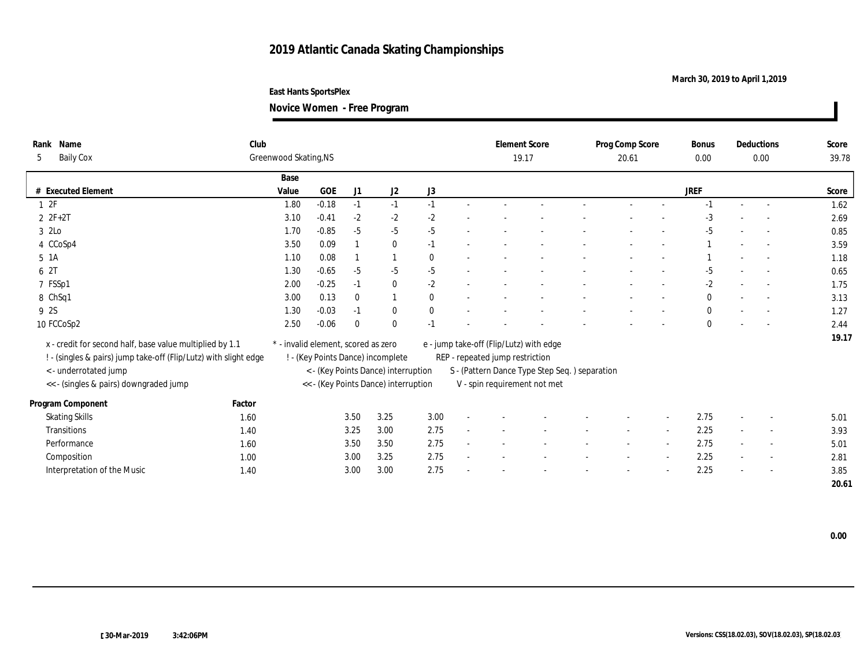## **March 30, 2019 to April 1,2019**

**East Hants SportsPlex**

**Novice Women - Free Program**

| Name<br>Rank<br><b>Baily Cox</b><br>5                            | Club<br>Greenwood Skating, NS |                                     |              |                                      |              | <b>Element Score</b><br>19.17           |                                                | Prog Comp Score<br>20.61 |                          | <b>Bonus</b><br>$0.00\,$ | Deductions<br>0.00       | Score<br>39.78 |
|------------------------------------------------------------------|-------------------------------|-------------------------------------|--------------|--------------------------------------|--------------|-----------------------------------------|------------------------------------------------|--------------------------|--------------------------|--------------------------|--------------------------|----------------|
|                                                                  | Base                          |                                     |              |                                      |              |                                         |                                                |                          |                          |                          |                          |                |
| # Executed Element                                               | Value                         | <b>GOE</b>                          | J1           | J2                                   | J3           |                                         |                                                |                          |                          | <b>JREF</b>              |                          | Score          |
| 12F                                                              | 1.80                          | $-0.18$                             | $-1$         | $-1$                                 | $-1$         |                                         |                                                |                          |                          |                          |                          | 1.62           |
| $2 F + 2T$                                                       | 3.10                          | $-0.41$                             | $-2$         | $-2$                                 | $-2$         |                                         |                                                |                          |                          | $-3$                     | $\overline{a}$           | 2.69           |
| 3 2Lo                                                            | 1.70                          | $-0.85$                             | $-5$         | $-5$                                 | $-5$         |                                         |                                                |                          |                          | -5                       | $\overline{\phantom{a}}$ | 0.85           |
| 4 CCoSp4                                                         | 3.50                          | 0.09                                |              | $\mathbf{0}$                         | $-1$         |                                         |                                                |                          |                          |                          | $\overline{\phantom{a}}$ | 3.59           |
| 5 1A                                                             | 1.10                          | 0.08                                |              |                                      | $\theta$     |                                         |                                                |                          |                          |                          | $\overline{a}$           | 1.18           |
| 6 2T                                                             | 1.30                          | $-0.65$                             | $-5$         | $-5$                                 | $-5$         |                                         |                                                |                          |                          | -5                       | $\sim$                   | 0.65           |
| 7 FSSp1                                                          | 2.00                          | $-0.25$                             | $-1$         | $\bf{0}$                             | $-2$         |                                         |                                                |                          |                          | $-2$                     | $\overline{\phantom{a}}$ | 1.75           |
| 8 ChSq1                                                          | 3.00                          | 0.13                                | $\bf{0}$     | $\mathbf{1}$                         | $\mathbf{0}$ |                                         |                                                |                          |                          | $\theta$                 | $\overline{a}$           | 3.13           |
| 9 2S                                                             | 1.30                          | $-0.03$                             | $-1$         | $\bf{0}$                             | $\mathbf{0}$ |                                         |                                                |                          |                          | $\mathbf{0}$             | $\sim$                   | 1.27           |
| 10 FCCoSp2                                                       | 2.50                          | $-0.06$                             | $\mathbf{0}$ | $\bf{0}$                             | $-1$         |                                         |                                                |                          |                          | $\theta$                 |                          | 2.44           |
| x - credit for second half, base value multiplied by 1.1         |                               | * - invalid element, scored as zero |              |                                      |              | e - jump take-off (Flip/Lutz) with edge |                                                |                          |                          |                          |                          | 19.17          |
| ! - (singles & pairs) jump take-off (Flip/Lutz) with slight edge |                               |                                     |              | ! - (Key Points Dance) incomplete    |              | REP - repeated jump restriction         |                                                |                          |                          |                          |                          |                |
| < - underrotated jump                                            |                               |                                     |              | < - (Key Points Dance) interruption  |              |                                         | S - (Pattern Dance Type Step Seq. ) separation |                          |                          |                          |                          |                |
| << - (singles & pairs) downgraded jump                           |                               |                                     |              | << - (Key Points Dance) interruption |              |                                         | V - spin requirement not met                   |                          |                          |                          |                          |                |
|                                                                  |                               |                                     |              |                                      |              |                                         |                                                |                          |                          |                          |                          |                |
| Program Component<br>Factor                                      |                               |                                     |              |                                      |              |                                         |                                                |                          |                          |                          |                          |                |
| <b>Skating Skills</b><br>1.60                                    |                               |                                     | 3.50         | 3.25                                 | 3.00         |                                         |                                                |                          |                          | 2.75                     | $\overline{\phantom{a}}$ | 5.01           |
| Transitions<br>1.40                                              |                               |                                     | 3.25         | 3.00                                 | 2.75         |                                         |                                                |                          | $\sim$                   | 2.25                     | $\sim$                   | 3.93           |
| Performance<br>1.60                                              |                               |                                     | 3.50         | 3.50                                 | 2.75         |                                         |                                                |                          | $\overline{\phantom{a}}$ | 2.75                     | $\sim$                   | 5.01           |
| Composition<br>1.00                                              |                               |                                     | 3.00         | 3.25                                 | 2.75         |                                         |                                                |                          | $\overline{\phantom{a}}$ | 2.25                     | $\sim$                   | 2.81           |
| Interpretation of the Music<br>1.40                              |                               |                                     | 3.00         | 3.00                                 | 2.75         |                                         |                                                |                          |                          | 2.25                     | $\overline{\phantom{a}}$ | 3.85           |